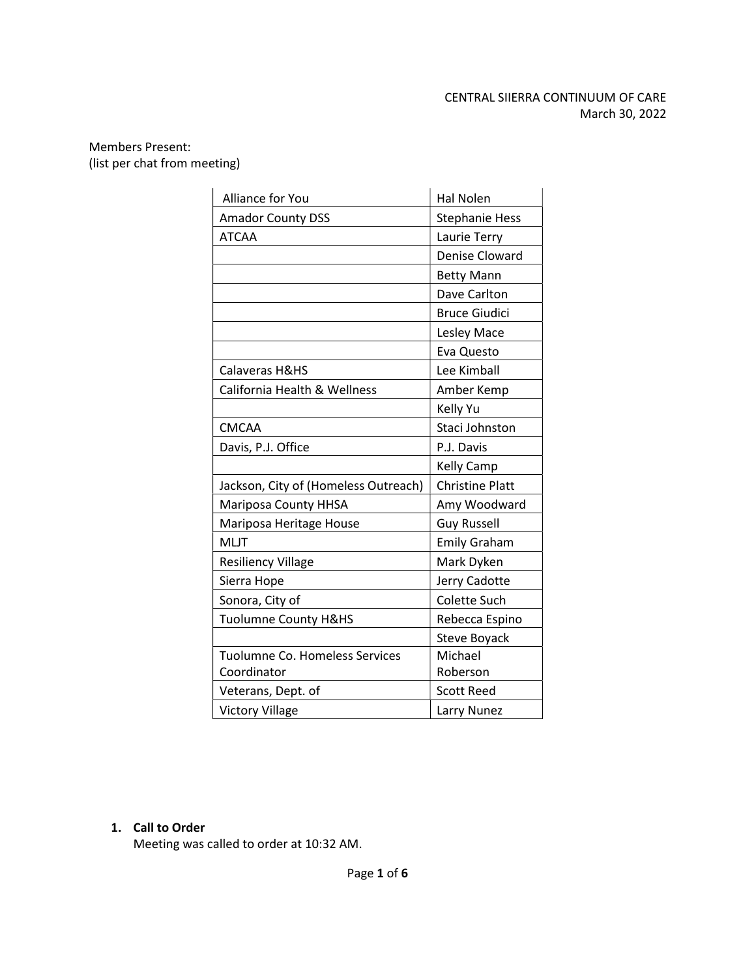# CENTRAL SIIERRA CONTINUUM OF CARE March 30, 2022

### Members Present: (list per chat from meeting)

| Alliance for You                     | <b>Hal Nolen</b>       |
|--------------------------------------|------------------------|
| <b>Amador County DSS</b>             | <b>Stephanie Hess</b>  |
| <b>ATCAA</b>                         | Laurie Terry           |
|                                      | <b>Denise Cloward</b>  |
|                                      | <b>Betty Mann</b>      |
|                                      | Dave Carlton           |
|                                      | <b>Bruce Giudici</b>   |
|                                      | Lesley Mace            |
|                                      | Eva Questo             |
| Calaveras H&HS                       | Lee Kimball            |
| California Health & Wellness         | Amber Kemp             |
|                                      | Kelly Yu               |
| <b>CMCAA</b>                         | Staci Johnston         |
| Davis, P.J. Office                   | P.J. Davis             |
|                                      | Kelly Camp             |
| Jackson, City of (Homeless Outreach) | <b>Christine Platt</b> |
| <b>Mariposa County HHSA</b>          | Amy Woodward           |
| Mariposa Heritage House              | <b>Guy Russell</b>     |
| <b>MLJT</b>                          | <b>Emily Graham</b>    |
| <b>Resiliency Village</b>            | Mark Dyken             |
| Sierra Hope                          | Jerry Cadotte          |
| Sonora, City of                      | <b>Colette Such</b>    |
| Tuolumne County H&HS                 | Rebecca Espino         |
|                                      | <b>Steve Boyack</b>    |
| Tuolumne Co. Homeless Services       | Michael                |
| Coordinator                          | Roberson               |
| Veterans, Dept. of                   | Scott Reed             |
| <b>Victory Village</b>               | Larry Nunez            |

## 1. Call to Order

Meeting was called to order at 10:32 AM.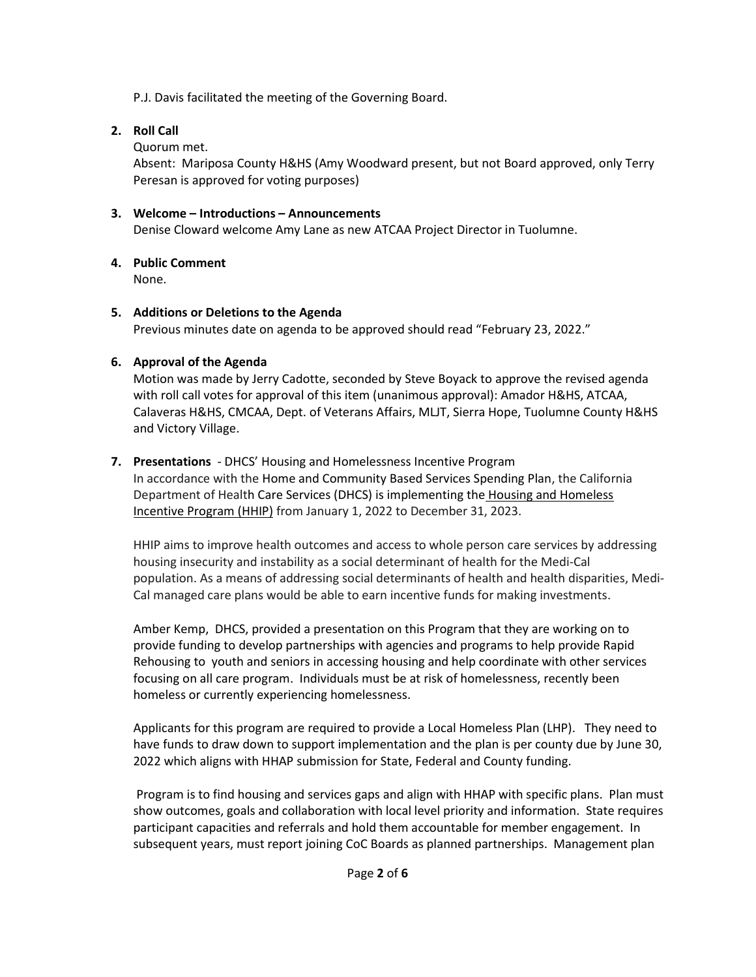P.J. Davis facilitated the meeting of the Governing Board.

# 2. Roll Call

Quorum met.

Absent: Mariposa County H&HS (Amy Woodward present, but not Board approved, only Terry Peresan is approved for voting purposes)

# 3. Welcome – Introductions – Announcements

Denise Cloward welcome Amy Lane as new ATCAA Project Director in Tuolumne.

# 4. Public Comment

None.

# 5. Additions or Deletions to the Agenda

Previous minutes date on agenda to be approved should read "February 23, 2022."

# 6. Approval of the Agenda

Motion was made by Jerry Cadotte, seconded by Steve Boyack to approve the revised agenda with roll call votes for approval of this item (unanimous approval): Amador H&HS, ATCAA, Calaveras H&HS, CMCAA, Dept. of Veterans Affairs, MLJT, Sierra Hope, Tuolumne County H&HS and Victory Village.

# 7. Presentations - DHCS' Housing and Homelessness Incentive Program

In accordance with the Home and Community Based Services Spending Plan, the California Department of Health Care Services (DHCS) is implementing the Housing and Homeless Incentive Program (HHIP) from January 1, 2022 to December 31, 2023.

HHIP aims to improve health outcomes and access to whole person care services by addressing housing insecurity and instability as a social determinant of health for the Medi-Cal population. As a means of addressing social determinants of health and health disparities, Medi-Cal managed care plans would be able to earn incentive funds for making investments.

Amber Kemp, DHCS, provided a presentation on this Program that they are working on to provide funding to develop partnerships with agencies and programs to help provide Rapid Rehousing to youth and seniors in accessing housing and help coordinate with other services focusing on all care program. Individuals must be at risk of homelessness, recently been homeless or currently experiencing homelessness.

Applicants for this program are required to provide a Local Homeless Plan (LHP). They need to have funds to draw down to support implementation and the plan is per county due by June 30, 2022 which aligns with HHAP submission for State, Federal and County funding.

 Program is to find housing and services gaps and align with HHAP with specific plans. Plan must show outcomes, goals and collaboration with local level priority and information. State requires participant capacities and referrals and hold them accountable for member engagement. In subsequent years, must report joining CoC Boards as planned partnerships. Management plan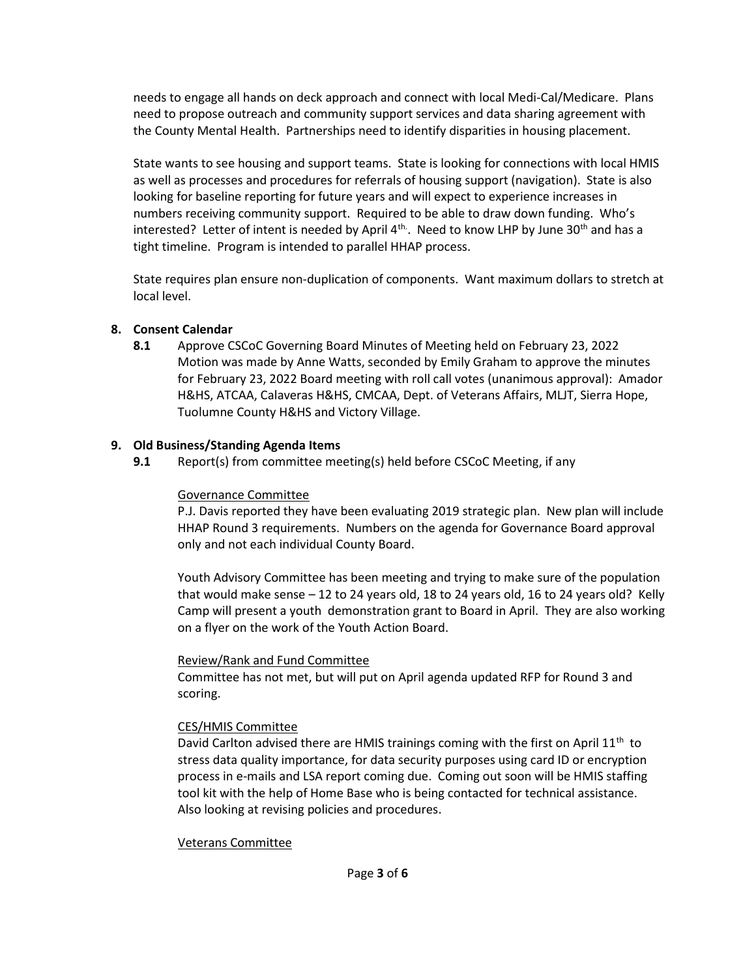needs to engage all hands on deck approach and connect with local Medi-Cal/Medicare. Plans need to propose outreach and community support services and data sharing agreement with the County Mental Health. Partnerships need to identify disparities in housing placement.

State wants to see housing and support teams. State is looking for connections with local HMIS as well as processes and procedures for referrals of housing support (navigation). State is also looking for baseline reporting for future years and will expect to experience increases in numbers receiving community support. Required to be able to draw down funding. Who's interested? Letter of intent is needed by April  $4^{\text{th}}$ . Need to know LHP by June 30<sup>th</sup> and has a tight timeline. Program is intended to parallel HHAP process.

State requires plan ensure non-duplication of components. Want maximum dollars to stretch at local level.

## 8. Consent Calendar

8.1 Approve CSCoC Governing Board Minutes of Meeting held on February 23, 2022 Motion was made by Anne Watts, seconded by Emily Graham to approve the minutes for February 23, 2022 Board meeting with roll call votes (unanimous approval): Amador H&HS, ATCAA, Calaveras H&HS, CMCAA, Dept. of Veterans Affairs, MLJT, Sierra Hope, Tuolumne County H&HS and Victory Village.

## 9. Old Business/Standing Agenda Items

9.1 Report(s) from committee meeting(s) held before CSCoC Meeting, if any

## Governance Committee

P.J. Davis reported they have been evaluating 2019 strategic plan. New plan will include HHAP Round 3 requirements. Numbers on the agenda for Governance Board approval only and not each individual County Board.

Youth Advisory Committee has been meeting and trying to make sure of the population that would make sense – 12 to 24 years old, 18 to 24 years old, 16 to 24 years old? Kelly Camp will present a youth demonstration grant to Board in April. They are also working on a flyer on the work of the Youth Action Board.

### Review/Rank and Fund Committee

Committee has not met, but will put on April agenda updated RFP for Round 3 and scoring.

### CES/HMIS Committee

David Carlton advised there are HMIS trainings coming with the first on April  $11<sup>th</sup>$  to stress data quality importance, for data security purposes using card ID or encryption process in e-mails and LSA report coming due. Coming out soon will be HMIS staffing tool kit with the help of Home Base who is being contacted for technical assistance. Also looking at revising policies and procedures.

### Veterans Committee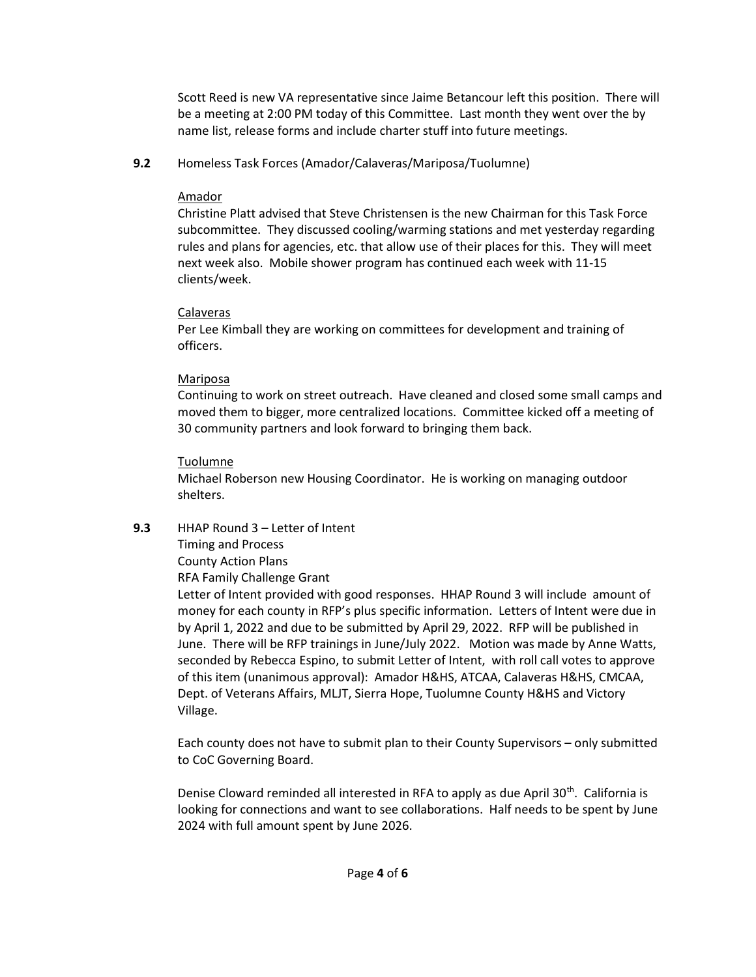Scott Reed is new VA representative since Jaime Betancour left this position. There will be a meeting at 2:00 PM today of this Committee. Last month they went over the by name list, release forms and include charter stuff into future meetings.

## 9.2 Homeless Task Forces (Amador/Calaveras/Mariposa/Tuolumne)

## Amador

Christine Platt advised that Steve Christensen is the new Chairman for this Task Force subcommittee. They discussed cooling/warming stations and met yesterday regarding rules and plans for agencies, etc. that allow use of their places for this. They will meet next week also. Mobile shower program has continued each week with 11-15 clients/week.

# Calaveras

Per Lee Kimball they are working on committees for development and training of officers.

# Mariposa

Continuing to work on street outreach. Have cleaned and closed some small camps and moved them to bigger, more centralized locations. Committee kicked off a meeting of 30 community partners and look forward to bringing them back.

# Tuolumne

Michael Roberson new Housing Coordinator. He is working on managing outdoor shelters.

# 9.3 HHAP Round 3 – Letter of Intent

Timing and Process

County Action Plans RFA Family Challenge Grant

Letter of Intent provided with good responses. HHAP Round 3 will include amount of money for each county in RFP's plus specific information. Letters of Intent were due in by April 1, 2022 and due to be submitted by April 29, 2022. RFP will be published in June. There will be RFP trainings in June/July 2022. Motion was made by Anne Watts, seconded by Rebecca Espino, to submit Letter of Intent, with roll call votes to approve of this item (unanimous approval): Amador H&HS, ATCAA, Calaveras H&HS, CMCAA, Dept. of Veterans Affairs, MLJT, Sierra Hope, Tuolumne County H&HS and Victory Village.

Each county does not have to submit plan to their County Supervisors – only submitted to CoC Governing Board.

Denise Cloward reminded all interested in RFA to apply as due April  $30<sup>th</sup>$ . California is looking for connections and want to see collaborations. Half needs to be spent by June 2024 with full amount spent by June 2026.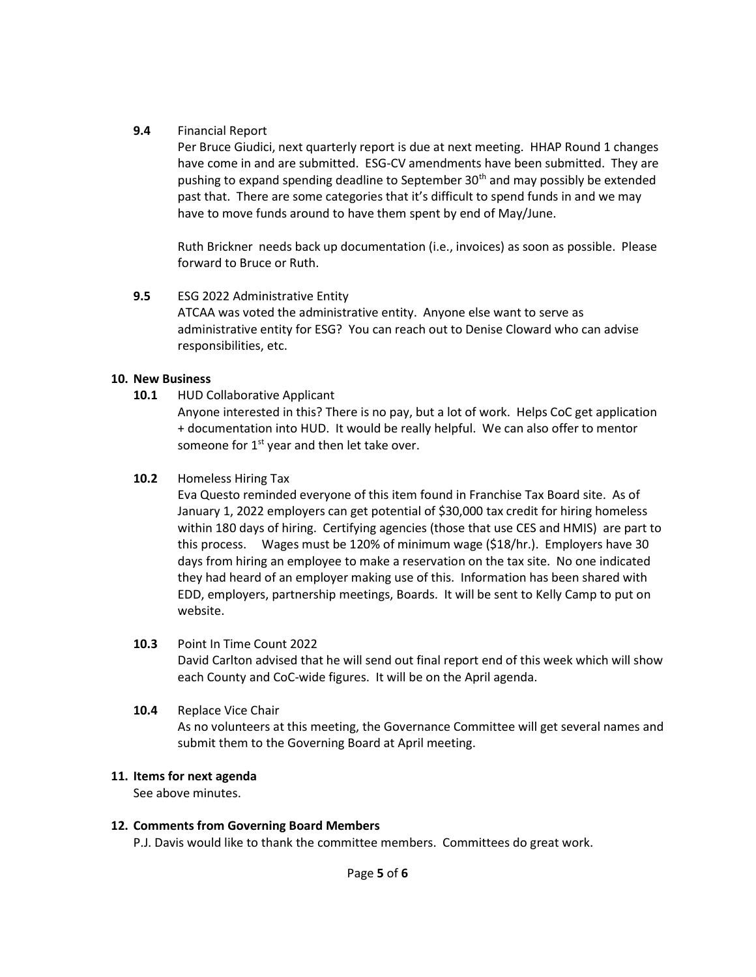### 9.4 Financial Report

Per Bruce Giudici, next quarterly report is due at next meeting. HHAP Round 1 changes have come in and are submitted. ESG-CV amendments have been submitted. They are pushing to expand spending deadline to September  $30<sup>th</sup>$  and may possibly be extended past that. There are some categories that it's difficult to spend funds in and we may have to move funds around to have them spent by end of May/June.

Ruth Brickner needs back up documentation (i.e., invoices) as soon as possible. Please forward to Bruce or Ruth.

## 9.5 ESG 2022 Administrative Entity

ATCAA was voted the administrative entity. Anyone else want to serve as administrative entity for ESG? You can reach out to Denise Cloward who can advise responsibilities, etc.

### 10. New Business

10.1 HUD Collaborative Applicant

Anyone interested in this? There is no pay, but a lot of work. Helps CoC get application + documentation into HUD. It would be really helpful. We can also offer to mentor someone for  $1<sup>st</sup>$  year and then let take over.

## 10.2 Homeless Hiring Tax

Eva Questo reminded everyone of this item found in Franchise Tax Board site. As of January 1, 2022 employers can get potential of \$30,000 tax credit for hiring homeless within 180 days of hiring. Certifying agencies (those that use CES and HMIS) are part to this process. Wages must be 120% of minimum wage (\$18/hr.). Employers have 30 days from hiring an employee to make a reservation on the tax site. No one indicated they had heard of an employer making use of this. Information has been shared with EDD, employers, partnership meetings, Boards. It will be sent to Kelly Camp to put on website.

### 10.3 Point In Time Count 2022

David Carlton advised that he will send out final report end of this week which will show each County and CoC-wide figures. It will be on the April agenda.

10.4 Replace Vice Chair As no volunteers at this meeting, the Governance Committee will get several names and submit them to the Governing Board at April meeting.

## 11. Items for next agenda

See above minutes.

### 12. Comments from Governing Board Members

P.J. Davis would like to thank the committee members. Committees do great work.